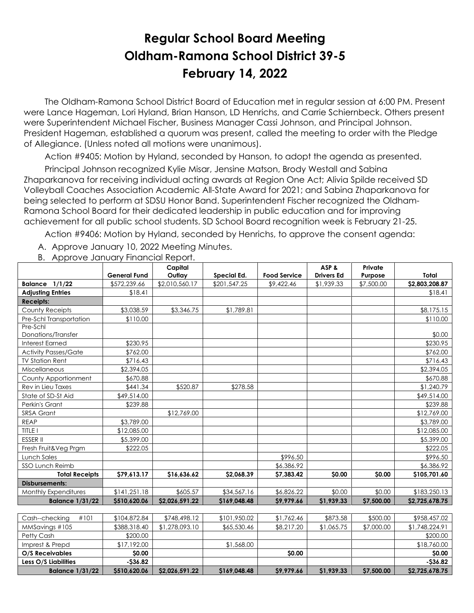## **Regular School Board Meeting Oldham-Ramona School District 39-5 February 14, 2022**

 The Oldham-Ramona School District Board of Education met in regular session at 6:00 PM. Present were Lance Hageman, Lori Hyland, Brian Hanson, LD Henrichs, and Carrie Schiernbeck. Others present were Superintendent Michael Fischer, Business Manager Cassi Johnson, and Principal Johnson. President Hageman, established a quorum was present, called the meeting to order with the Pledge of Allegiance. (Unless noted all motions were unanimous).

Action #9405: Motion by Hyland, seconded by Hanson, to adopt the agenda as presented.

 Principal Johnson recognized Kylie Misar, Jensine Matson, Brody Westall and Sabina Zhaparkanova for receiving individual acting awards at Region One Act; Alivia Spilde received SD Volleyball Coaches Association Academic All-State Award for 2021; and Sabina Zhaparkanova for being selected to perform at SDSU Honor Band. Superintendent Fischer recognized the Oldham-Ramona School Board for their dedicated leadership in public education and for improving achievement for all public school students. SD School Board recognition week is February 21-25.

Action #9406: Motion by Hyland, seconded by Henrichs, to approve the consent agenda:

A. Approve January 10, 2022 Meeting Minutes.

|                                              |                     | Capital        |              |                     | ASP&              | Private    |                |
|----------------------------------------------|---------------------|----------------|--------------|---------------------|-------------------|------------|----------------|
|                                              | <b>General Fund</b> | Outlay         | Special Ed.  | <b>Food Service</b> | <b>Drivers Ed</b> | Purpose    | Total          |
| <b>Balance 1/1/22</b>                        | \$572,239.66        | \$2,010,560.17 | \$201,547.25 | \$9,422.46          | \$1,939.33        | \$7,500.00 | \$2,803,208.87 |
| <b>Adjusting Entries</b>                     | \$18.41             |                |              |                     |                   |            | \$18.41        |
| <b>Receipts:</b>                             |                     |                |              |                     |                   |            |                |
| County Receipts                              | \$3,038.59          | \$3,346.75     | \$1,789.81   |                     |                   |            | \$8,175.15     |
| Pre-Schl Transportation                      | \$110.00            |                |              |                     |                   |            | \$110.00       |
| Pre-Schl                                     |                     |                |              |                     |                   |            |                |
| Donations/Transfer<br><b>Interest Earned</b> |                     |                |              |                     |                   |            | \$0.00         |
|                                              | \$230.95            |                |              |                     |                   |            | \$230.95       |
| <b>Activity Passes/Gate</b>                  | \$762.00            |                |              |                     |                   |            | \$762.00       |
| <b>TV Station Rent</b>                       | \$716.43            |                |              |                     |                   |            | \$716.43       |
| Miscellaneous                                | \$2,394.05          |                |              |                     |                   |            | \$2,394.05     |
| County Apportionment                         | \$670.88            |                |              |                     |                   |            | \$670.88       |
| Rev in Lieu Taxes                            | \$441.34            | \$520.87       | \$278.58     |                     |                   |            | \$1,240.79     |
| State of SD-St Aid                           | \$49,514.00         |                |              |                     |                   |            | \$49,514.00    |
| Perkin's Grant                               | \$239.88            |                |              |                     |                   |            | \$239.88       |
| SRSA Grant                                   |                     | \$12,769.00    |              |                     |                   |            | \$12,769.00    |
| <b>REAP</b>                                  | \$3,789.00          |                |              |                     |                   |            | \$3,789.00     |
| TITLE I                                      | \$12,085.00         |                |              |                     |                   |            | \$12,085.00    |
| <b>ESSER II</b>                              | \$5,399.00          |                |              |                     |                   |            | \$5,399.00     |
| Fresh Fruit&Veg Prgm                         | \$222.05            |                |              |                     |                   |            | \$222.05       |
| <b>Lunch Sales</b>                           |                     |                |              | \$996.50            |                   |            | \$996.50       |
| <b>SSO Lunch Reimb</b>                       |                     |                |              | \$6,386.92          |                   |            | \$6,386.92     |
| <b>Total Receipts</b>                        | \$79,613.17         | \$16,636.62    | \$2,068.39   | \$7,383.42          | \$0.00            | \$0.00     | \$105,701.60   |
| <b>Disbursements:</b>                        |                     |                |              |                     |                   |            |                |
| Monthly Expenditures                         | \$141,251.18        | \$605.57       | \$34,567.16  | \$6,826.22          | \$0.00            | \$0.00     | \$183,250.13   |
| <b>Balance 1/31/22</b>                       | \$510,620.06        | \$2,026,591.22 | \$169,048.48 | \$9,979.66          | \$1.939.33        | \$7,500.00 | \$2,725,678.75 |
|                                              |                     |                |              |                     |                   |            |                |
| Cash--checking<br>#101                       | \$104,872.84        | \$748,498.12   | \$101,950.02 | \$1,762.46          | \$873.58          | \$500.00   | \$958,457.02   |
| MMSavings #105                               | \$388,318.40        | \$1,278,093.10 | \$65,530.46  | \$8,217.20          | \$1,065.75        | \$7,000.00 | \$1,748,224.91 |
| Petty Cash                                   | \$200.00            |                |              |                     |                   |            | \$200.00       |
| Imprest & Prepd                              | \$17,192.00         |                | \$1,568.00   |                     |                   |            | \$18,760.00    |
| O/S Receivables                              | \$0.00              |                |              | \$0.00              |                   |            | \$0.00         |
| Less O/S Liabilities                         | $-536.82$           |                |              |                     |                   |            | $-536.82$      |

**Balance 1/31/22 \$510,620.06 \$2,026,591.22 \$169,048.48 \$9,979.66 \$1,939.33 \$7,500.00 \$2,725,678.75**

B. Approve January Financial Report.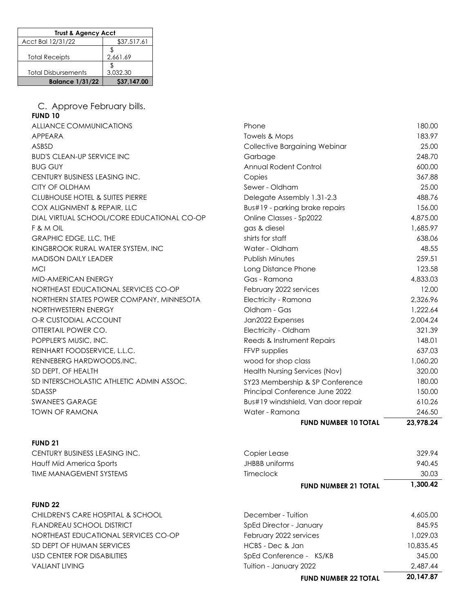| <b>Trust &amp; Agency Acct</b> |             |  |  |
|--------------------------------|-------------|--|--|
| Acct Bal 12/31/22              | \$37,517.61 |  |  |
|                                |             |  |  |
| <b>Total Receipts</b>          | 2,661.69    |  |  |
|                                |             |  |  |
| <b>Total Disbursements</b>     | 3.032.30    |  |  |
| <b>Balance 1/31/22</b>         | \$37,147.00 |  |  |

C. Approve February bills. **FUND 10** ALLIANCE COMMUNICATIONS BUD'S CLEAN-UP SERVICE INC CENTURY BUSINESS LEASING INC. CITY OF OLDHAM CLUBHOUSE HOTEL & SUITES PIERRE COX ALIGNMENT & REPAIR, LLC DIAL VIRTUAL SCHOOL/CORE EDUCATIONAL CO-OP GRAPHIC EDGE, LLC, THE KINGBROOK RURAL WATER SYSTEM, INC MADISON DAILY LEADER MID-AMERICAN ENERGY NORTHEAST EDUCATIONAL SERVICES CO-OP NORTHERN STATES POWER COMPANY, MINNESOTA NORTHWESTERN ENERGY O-R CUSTODIAL ACCOUNT OTTERTAIL POWER CO. POPPLER'S MUSIC, INC. REINHART FOODSERVICE, L.L.C. RENNEBERG HARDWOODS, INC. SD DEPT. OF HEALTH SD INTERSCHOLASTIC ATHLETIC ADMIN ASSOC. SWANEE'S GARAGE TOWN OF RAMONA

## **FUND 21**

CENTURY BUSINESS LEASING INC. COPIER 229.947.000 COPIER 229.94 Hauff Mid America Sports TIME MANAGEMENT SYSTEMS

## **FUND 22**

CHILDREN'S CARE HOSPITAL & SCHOOL FLANDREAU SCHOOL DISTRICT NORTHEAST EDUCATIONAL SERVICES CO-OP SD DEPT OF HUMAN SERVICES USD CENTER FOR DISABILITIES **VALIANT LIVING** 

| <b>ALLIANCE COMMUNICATIONS</b>             | Phone                              | 180.00    |
|--------------------------------------------|------------------------------------|-----------|
| <b>APPEARA</b>                             | Towels & Mops                      | 183.97    |
| ASBSD                                      | Collective Bargaining Webinar      | 25.00     |
| <b>BUD'S CLEAN-UP SERVICE INC</b>          | Garbage                            | 248.70    |
| <b>BUG GUY</b>                             | Annual Rodent Control              | 600.00    |
| CENTURY BUSINESS LEASING INC.              | Copies                             | 367.88    |
| CITY OF OLDHAM                             | Sewer - Oldham                     | 25.00     |
| <b>CLUBHOUSE HOTEL &amp; SUITES PIERRE</b> | Delegate Assembly 1.31-2.3         | 488.76    |
| COX ALIGNMENT & REPAIR, LLC                | Bus#19 - parking brake repairs     | 156.00    |
| DIAL VIRTUAL SCHOOL/CORE EDUCATIONAL CO-OP | Online Classes - Sp2022            | 4,875.00  |
| F & M OIL                                  | gas & diesel                       | 1,685.97  |
| GRAPHIC EDGE, LLC, THE                     | shirts for staff                   | 638.06    |
| KINGBROOK RURAL WATER SYSTEM, INC          | Water - Oldham                     | 48.55     |
| <b>MADISON DAILY LEADER</b>                | <b>Publish Minutes</b>             | 259.51    |
| <b>MCI</b>                                 | Long Distance Phone                | 123.58    |
| MID-AMERICAN ENERGY                        | Gas - Ramona                       | 4,833.03  |
| NORTHEAST EDUCATIONAL SERVICES CO-OP       | February 2022 services             | 12.00     |
| NORTHERN STATES POWER COMPANY, MINNESOTA   | Electricity - Ramona               | 2,326.96  |
| NORTHWESTERN ENERGY                        | Oldham - Gas                       | 1,222.64  |
| O-R CUSTODIAL ACCOUNT                      | Jan2022 Expenses                   | 2,004.24  |
| OTTERTAIL POWER CO.                        | Electricity - Oldham               | 321.39    |
| POPPLER'S MUSIC, INC.                      | Reeds & Instrument Repairs         | 148.01    |
| REINHART FOODSERVICE, L.L.C.               | FFVP supplies                      | 637.03    |
| RENNEBERG HARDWOODS, INC.                  | wood for shop class                | 1,060.20  |
| SD DEPT. OF HEALTH                         | Health Nursing Services (Nov)      | 320.00    |
| SD INTERSCHOLASTIC ATHLETIC ADMIN ASSOC.   | SY23 Membership & SP Conference    | 180.00    |
| SDASSP                                     | Principal Conference June 2022     | 150.00    |
| <b>SWANEE'S GARAGE</b>                     | Bus#19 windshield, Van door repair | 610.26    |
| <b>TOWN OF RAMONA</b>                      | Water - Ramona                     | 246.50    |
|                                            | <b>FUND NUMBER 10 TOTAL</b>        | 23,978.24 |
|                                            |                                    |           |

|                | <b>FUND NUMBER 21 TOTAL</b> | 1.300.42 |
|----------------|-----------------------------|----------|
| limeclock      |                             | 30.03    |
| JHBBB uniforms |                             | 940.45   |
| Copier Lease   |                             | 329.94   |

| <b>FUND NUMBER 22 TOTAL</b> | 20,147.87 |
|-----------------------------|-----------|
| Tuition - January 2022      | 2,487.44  |
| SpEd Conference - KS/KB     | 345.00    |
| HCBS - Dec & Jan            | 10,835.45 |
| February 2022 services      | 1.029.03  |
| SpEd Director - January     | 845.95    |
| December - Tuition          | 4,605.00  |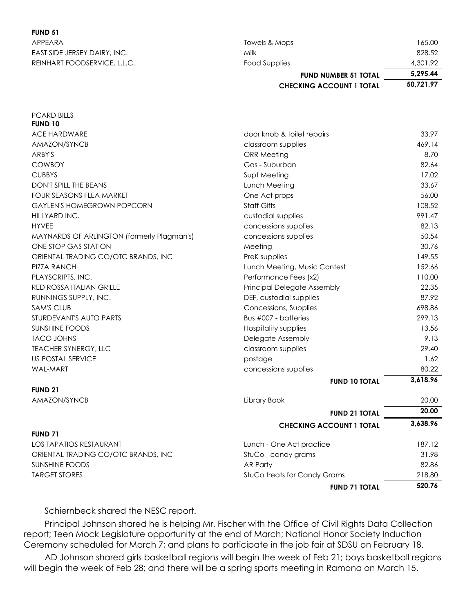## **FUND 51**

| APPEARA                      | Towels & Mops                   | 165.00    |
|------------------------------|---------------------------------|-----------|
| EAST SIDE JERSEY DAIRY, INC. | Milk                            | 828.52    |
| REINHART FOODSERVICE, L.L.C. | Food Supplies                   | 4,301.92  |
|                              | <b>FUND NUMBER 51 TOTAL</b>     | 5,295.44  |
|                              | <b>CHECKING ACCOUNT 1 TOTAL</b> | 50.721.97 |

| <b>PCARD BILLS</b>                         |                                    |          |
|--------------------------------------------|------------------------------------|----------|
| <b>FUND 10</b>                             |                                    |          |
| ACE HARDWARE                               | door knob & toilet repairs         | 33.97    |
| AMAZON/SYNCB                               | classroom supplies                 | 469.14   |
| ARBY'S                                     | <b>ORR Meeting</b>                 | 8.70     |
| <b>COWBOY</b>                              | Gas - Suburban                     | 82.64    |
| <b>CUBBYS</b>                              | Supt Meeting                       | 17.02    |
| <b>DON'T SPILL THE BEANS</b>               | Lunch Meeting                      | 33.67    |
| <b>FOUR SEASONS FLEA MARKET</b>            | One Act props                      | 56.00    |
| <b>GAYLEN'S HOMEGROWN POPCORN</b>          | <b>Staff Gifts</b>                 | 108.52   |
| HILLYARD INC.                              | custodial supplies                 | 991.47   |
| <b>HYVEE</b>                               | concessions supplies               | 82.13    |
| MAYNARDS OF ARLINGTON (formerly Plagman's) | concessions supplies               | 50.54    |
| ONE STOP GAS STATION                       | Meeting                            | 30.76    |
| ORIENTAL TRADING CO/OTC BRANDS, INC        | PreK supplies                      | 149.55   |
| <b>PIZZA RANCH</b>                         | Lunch Meeting, Music Contest       | 152.66   |
| PLAYSCRIPTS, INC.                          | Performance Fees (x2)              | 110.00   |
| RED ROSSA ITALIAN GRILLE                   | <b>Principal Delegate Assembly</b> | 22.35    |
| RUNNINGS SUPPLY, INC.                      | DEF, custodial supplies            | 87.92    |
| <b>SAM'S CLUB</b>                          | Concessions, Supplies              | 698.86   |
| STURDEVANT'S AUTO PARTS                    | Bus #007 - batteries               | 299.13   |
| <b>SUNSHINE FOODS</b>                      | Hospitality supplies               | 13.56    |
| <b>TACO JOHNS</b>                          | Delegate Assembly                  | 9.13     |
| <b>TEACHER SYNERGY, LLC</b>                | classroom supplies                 | 29.40    |
| US POSTAL SERVICE                          | postage                            | 1.62     |
| <b>WAL-MART</b>                            | concessions supplies               | 80.22    |
|                                            | <b>FUND 10 TOTAL</b>               | 3,618.96 |
| <b>FUND 21</b>                             |                                    |          |
| AMAZON/SYNCB                               | Library Book                       | 20.00    |
|                                            | <b>FUND 21 TOTAL</b>               | 20.00    |
|                                            | <b>CHECKING ACCOUNT 1 TOTAL</b>    | 3,638.96 |
| <b>FUND 71</b>                             |                                    |          |
| <b>LOS TAPATIOS RESTAURANT</b>             | Lunch - One Act practice           | 187.12   |
| ORIENTAL TRADING CO/OTC BRANDS, INC        | StuCo - candy grams                | 31.98    |
| <b>SUNSHINE FOODS</b>                      | AR Party                           | 82.86    |
| <b>TARGET STORES</b>                       | StuCo treats for Candy Grams       | 218.80   |
|                                            | <b>FUND 71 TOTAL</b>               | 520.76   |

Schiernbeck shared the NESC report.

 Principal Johnson shared he is helping Mr. Fischer with the Office of Civil Rights Data Collection report; Teen Mock Legislature opportunity at the end of March; National Honor Society Induction Ceremony scheduled for March 7; and plans to participate in the job fair at SDSU on February 18.

 AD Johnson shared girls basketball regions will begin the week of Feb 21; boys basketball regions will begin the week of Feb 28; and there will be a spring sports meeting in Ramona on March 15.